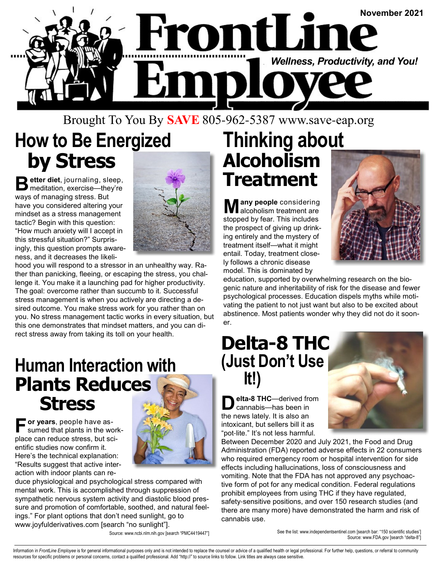

#### Brought To You By **SAVE** 805-962-5387 www.save-eap.org

### **How to Be Energized by Stress**

Better diet, journaling, sleep, meditation, exercise—they're meditation, exercise—they're ways of managing stress. But have you considered altering your mindset as a stress management tactic? Begin with this question: "How much anxiety will I accept in this stressful situation?" Surprisingly, this question prompts awareness, and it decreases the likeli-



hood you will respond to a stressor in an unhealthy way. Rather than panicking, fleeing, or escaping the stress, you challenge it. You make it a launching pad for higher productivity. The goal: overcome rather than succumb to it. Successful stress management is when you actively are directing a desired outcome. You make stress work for you rather than on you. No stress management tactic works in every situation, but this one demonstrates that mindset matters, and you can direct stress away from taking its toll on your health.

### **Human Interaction with Plants Reduces Stress**

**F or years**, people have assumed that plants in the workplace can reduce stress, but scientific studies now confirm it. Here's the technical explanation: "Results suggest that active interaction with indoor plants can re-



duce physiological and psychological stress compared with mental work. This is accomplished through suppression of sympathetic nervous system activity and diastolic blood pressure and promotion of comfortable, soothed, and natural feelings." For plant options that don't need sunlight, go to www.joyfulderivatives.com [search "no sunlight"].

Source: www.ncbi.nlm.nih.gov [search "PMC4419447"]

# **Thinking about Alcoholism Treatment**

**M any people** considering alcoholism treatment are stopped by fear. This includes the prospect of giving up drinking entirely and the mystery of treatment itself—what it might entail. Today, treatment closely follows a chronic disease model. This is dominated by



education, supported by overwhelming research on the biogenic nature and inheritability of risk for the disease and fewer psychological processes. Education dispels myths while motivating the patient to not just want but also to be excited about abstinence. Most patients wonder why they did not do it sooner.

### **Delta-8 THC (Just Don't Use It!)**

**D elta-8 THC**—derived from cannabis—has been in the news lately. It is also an intoxicant, but sellers bill it as "pot-lite." It's not less harmful.

Between December 2020 and July 2021, the Food and Drug Administration (FDA) reported adverse effects in 22 consumers who required emergency room or hospital intervention for side effects including hallucinations, loss of consciousness and vomiting. Note that the FDA has not approved any psychoactive form of pot for any medical condition. Federal regulations prohibit employees from using THC if they have regulated, safety-sensitive positions, and over 150 research studies (and there are many more) have demonstrated the harm and risk of cannabis use.

> See the list: www.independentsentinel.com [search bar: "150 scientific studies'] Source: www.FDA.gov [search "delta-8"]

Information in FrontLine Employee is for general informational purposes only and is not intended to replace the counsel or advice of a qualified health or legal professional. For further help, questions, or referral to com resources for specific problems or personal concerns, contact a qualified professional. Add "http://" to source links to follow. Link titles are always case sensitive.